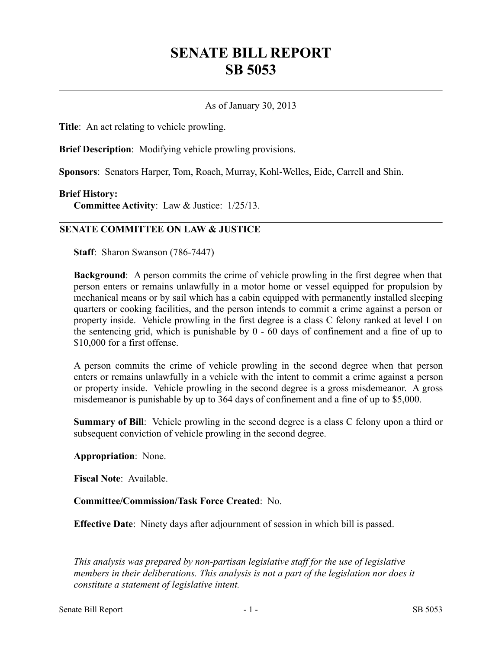# **SENATE BILL REPORT SB 5053**

## As of January 30, 2013

**Title**: An act relating to vehicle prowling.

**Brief Description**: Modifying vehicle prowling provisions.

**Sponsors**: Senators Harper, Tom, Roach, Murray, Kohl-Welles, Eide, Carrell and Shin.

#### **Brief History:**

**Committee Activity**: Law & Justice: 1/25/13.

## **SENATE COMMITTEE ON LAW & JUSTICE**

**Staff**: Sharon Swanson (786-7447)

**Background**: A person commits the crime of vehicle prowling in the first degree when that person enters or remains unlawfully in a motor home or vessel equipped for propulsion by mechanical means or by sail which has a cabin equipped with permanently installed sleeping quarters or cooking facilities, and the person intends to commit a crime against a person or property inside. Vehicle prowling in the first degree is a class C felony ranked at level I on the sentencing grid, which is punishable by 0 - 60 days of confinement and a fine of up to \$10,000 for a first offense.

A person commits the crime of vehicle prowling in the second degree when that person enters or remains unlawfully in a vehicle with the intent to commit a crime against a person or property inside. Vehicle prowling in the second degree is a gross misdemeanor. A gross misdemeanor is punishable by up to 364 days of confinement and a fine of up to \$5,000.

**Summary of Bill**: Vehicle prowling in the second degree is a class C felony upon a third or subsequent conviction of vehicle prowling in the second degree.

#### **Appropriation**: None.

**Fiscal Note**: Available.

––––––––––––––––––––––

**Committee/Commission/Task Force Created**: No.

**Effective Date**: Ninety days after adjournment of session in which bill is passed.

*This analysis was prepared by non-partisan legislative staff for the use of legislative members in their deliberations. This analysis is not a part of the legislation nor does it constitute a statement of legislative intent.*